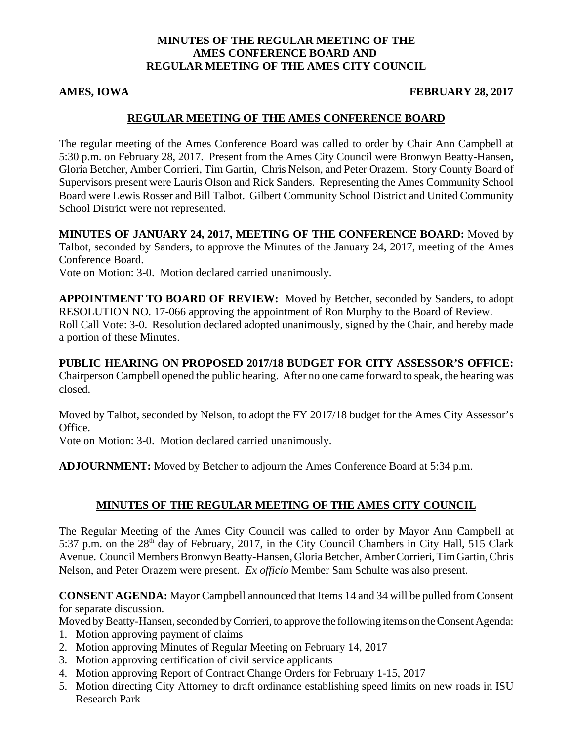## **MINUTES OF THE REGULAR MEETING OF THE AMES CONFERENCE BOARD AND REGULAR MEETING OF THE AMES CITY COUNCIL**

#### **AMES, IOWA FEBRUARY 28, 2017**

## **REGULAR MEETING OF THE AMES CONFERENCE BOARD**

The regular meeting of the Ames Conference Board was called to order by Chair Ann Campbell at 5:30 p.m. on February 28, 2017. Present from the Ames City Council were Bronwyn Beatty-Hansen, Gloria Betcher, Amber Corrieri, Tim Gartin, Chris Nelson, and Peter Orazem. Story County Board of Supervisors present were Lauris Olson and Rick Sanders. Representing the Ames Community School Board were Lewis Rosser and Bill Talbot. Gilbert Community School District and United Community School District were not represented.

**MINUTES OF JANUARY 24, 2017, MEETING OF THE CONFERENCE BOARD:** Moved by Talbot, seconded by Sanders, to approve the Minutes of the January 24, 2017, meeting of the Ames Conference Board.

Vote on Motion: 3-0. Motion declared carried unanimously.

**APPOINTMENT TO BOARD OF REVIEW:** Moved by Betcher, seconded by Sanders, to adopt RESOLUTION NO. 17-066 approving the appointment of Ron Murphy to the Board of Review. Roll Call Vote: 3-0. Resolution declared adopted unanimously, signed by the Chair, and hereby made a portion of these Minutes.

**PUBLIC HEARING ON PROPOSED 2017/18 BUDGET FOR CITY ASSESSOR'S OFFICE:** Chairperson Campbell opened the public hearing. After no one came forward to speak, the hearing was closed.

Moved by Talbot, seconded by Nelson, to adopt the FY 2017/18 budget for the Ames City Assessor's Office.

Vote on Motion: 3-0. Motion declared carried unanimously.

**ADJOURNMENT:** Moved by Betcher to adjourn the Ames Conference Board at 5:34 p.m.

# **MINUTES OF THE REGULAR MEETING OF THE AMES CITY COUNCIL**

The Regular Meeting of the Ames City Council was called to order by Mayor Ann Campbell at 5:37 p.m. on the  $28<sup>th</sup>$  day of February, 2017, in the City Council Chambers in City Hall, 515 Clark Avenue. Council Members Bronwyn Beatty-Hansen, Gloria Betcher, Amber Corrieri, Tim Gartin, Chris Nelson, and Peter Orazem were present. *Ex officio* Member Sam Schulte was also present.

**CONSENT AGENDA:** Mayor Campbell announced that Items 14 and 34 will be pulled from Consent for separate discussion.

Moved by Beatty-Hansen, seconded by Corrieri, to approve the following items on the Consent Agenda:

- 1. Motion approving payment of claims
- 2. Motion approving Minutes of Regular Meeting on February 14, 2017
- 3. Motion approving certification of civil service applicants
- 4. Motion approving Report of Contract Change Orders for February 1-15, 2017
- 5. Motion directing City Attorney to draft ordinance establishing speed limits on new roads in ISU Research Park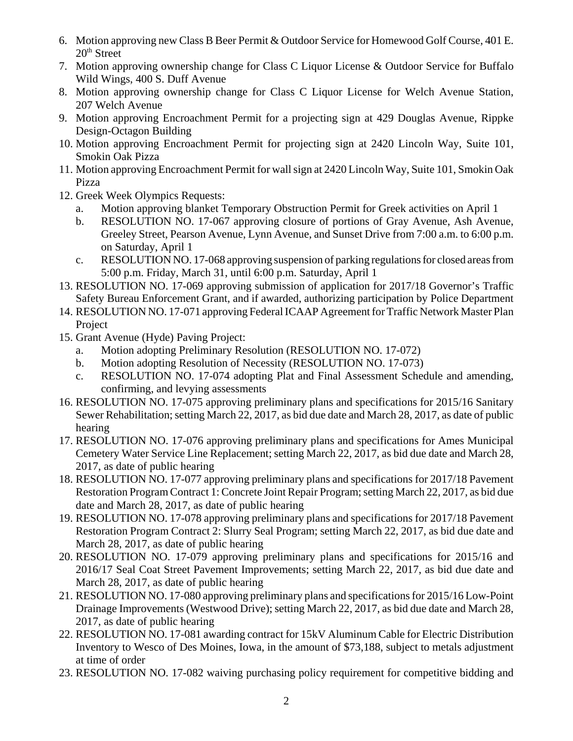- 6. Motion approving new Class B Beer Permit & Outdoor Service for Homewood Golf Course, 401 E.  $20<sup>th</sup>$  Street
- 7. Motion approving ownership change for Class C Liquor License & Outdoor Service for Buffalo Wild Wings, 400 S. Duff Avenue
- 8. Motion approving ownership change for Class C Liquor License for Welch Avenue Station, 207 Welch Avenue
- 9. Motion approving Encroachment Permit for a projecting sign at 429 Douglas Avenue, Rippke Design-Octagon Building
- 10. Motion approving Encroachment Permit for projecting sign at 2420 Lincoln Way, Suite 101, Smokin Oak Pizza
- 11. Motion approving Encroachment Permit for wall sign at 2420 Lincoln Way, Suite 101, Smokin Oak Pizza
- 12. Greek Week Olympics Requests:
	- a. Motion approving blanket Temporary Obstruction Permit for Greek activities on April 1
	- b. RESOLUTION NO. 17-067 approving closure of portions of Gray Avenue, Ash Avenue, Greeley Street, Pearson Avenue, Lynn Avenue, and Sunset Drive from 7:00 a.m. to 6:00 p.m. on Saturday, April 1
	- c. RESOLUTION NO. 17-068 approving suspension of parking regulations for closed areas from 5:00 p.m. Friday, March 31, until 6:00 p.m. Saturday, April 1
- 13. RESOLUTION NO. 17-069 approving submission of application for 2017/18 Governor's Traffic Safety Bureau Enforcement Grant, and if awarded, authorizing participation by Police Department
- 14. RESOLUTION NO. 17-071 approving Federal ICAAP Agreement for Traffic Network Master Plan Project
- 15. Grant Avenue (Hyde) Paving Project:
	- a. Motion adopting Preliminary Resolution (RESOLUTION NO. 17-072)
	- b. Motion adopting Resolution of Necessity (RESOLUTION NO. 17-073)
	- c. RESOLUTION NO. 17-074 adopting Plat and Final Assessment Schedule and amending, confirming, and levying assessments
- 16. RESOLUTION NO. 17-075 approving preliminary plans and specifications for 2015/16 Sanitary Sewer Rehabilitation; setting March 22, 2017, as bid due date and March 28, 2017, as date of public hearing
- 17. RESOLUTION NO. 17-076 approving preliminary plans and specifications for Ames Municipal Cemetery Water Service Line Replacement; setting March 22, 2017, as bid due date and March 28, 2017, as date of public hearing
- 18. RESOLUTION NO. 17-077 approving preliminary plans and specifications for 2017/18 Pavement Restoration Program Contract 1: Concrete Joint Repair Program; setting March 22, 2017, as bid due date and March 28, 2017, as date of public hearing
- 19. RESOLUTION NO. 17-078 approving preliminary plans and specifications for 2017/18 Pavement Restoration Program Contract 2: Slurry Seal Program; setting March 22, 2017, as bid due date and March 28, 2017, as date of public hearing
- 20. RESOLUTION NO. 17-079 approving preliminary plans and specifications for 2015/16 and 2016/17 Seal Coat Street Pavement Improvements; setting March 22, 2017, as bid due date and March 28, 2017, as date of public hearing
- 21. RESOLUTION NO. 17-080 approving preliminary plans and specifications for 2015/16 Low-Point Drainage Improvements (Westwood Drive); setting March 22, 2017, as bid due date and March 28, 2017, as date of public hearing
- 22. RESOLUTION NO. 17-081 awarding contract for 15kV Aluminum Cable for Electric Distribution Inventory to Wesco of Des Moines, Iowa, in the amount of \$73,188, subject to metals adjustment at time of order
- 23. RESOLUTION NO. 17-082 waiving purchasing policy requirement for competitive bidding and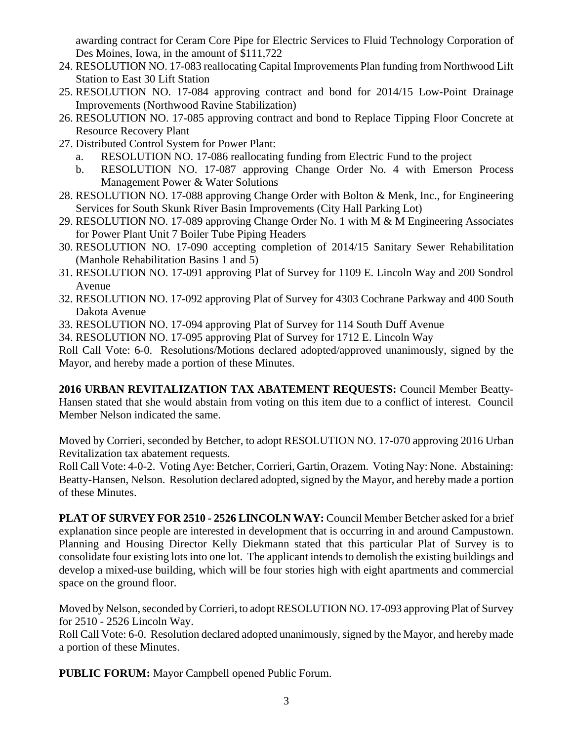awarding contract for Ceram Core Pipe for Electric Services to Fluid Technology Corporation of Des Moines, Iowa, in the amount of \$111,722

- 24. RESOLUTION NO. 17-083 reallocating Capital Improvements Plan funding from Northwood Lift Station to East 30 Lift Station
- 25. RESOLUTION NO. 17-084 approving contract and bond for 2014/15 Low-Point Drainage Improvements (Northwood Ravine Stabilization)
- 26. RESOLUTION NO. 17-085 approving contract and bond to Replace Tipping Floor Concrete at Resource Recovery Plant
- 27. Distributed Control System for Power Plant:
	- a. RESOLUTION NO. 17-086 reallocating funding from Electric Fund to the project
	- b. RESOLUTION NO. 17-087 approving Change Order No. 4 with Emerson Process Management Power & Water Solutions
- 28. RESOLUTION NO. 17-088 approving Change Order with Bolton & Menk, Inc., for Engineering Services for South Skunk River Basin Improvements (City Hall Parking Lot)
- 29. RESOLUTION NO. 17-089 approving Change Order No. 1 with M & M Engineering Associates for Power Plant Unit 7 Boiler Tube Piping Headers
- 30. RESOLUTION NO. 17-090 accepting completion of 2014/15 Sanitary Sewer Rehabilitation (Manhole Rehabilitation Basins 1 and 5)
- 31. RESOLUTION NO. 17-091 approving Plat of Survey for 1109 E. Lincoln Way and 200 Sondrol Avenue
- 32. RESOLUTION NO. 17-092 approving Plat of Survey for 4303 Cochrane Parkway and 400 South Dakota Avenue
- 33. RESOLUTION NO. 17-094 approving Plat of Survey for 114 South Duff Avenue
- 34. RESOLUTION NO. 17-095 approving Plat of Survey for 1712 E. Lincoln Way

Roll Call Vote: 6-0. Resolutions/Motions declared adopted/approved unanimously, signed by the Mayor, and hereby made a portion of these Minutes.

**2016 URBAN REVITALIZATION TAX ABATEMENT REQUESTS:** Council Member Beatty-Hansen stated that she would abstain from voting on this item due to a conflict of interest. Council Member Nelson indicated the same.

Moved by Corrieri, seconded by Betcher, to adopt RESOLUTION NO. 17-070 approving 2016 Urban Revitalization tax abatement requests.

Roll Call Vote: 4-0-2. Voting Aye: Betcher, Corrieri, Gartin, Orazem. Voting Nay: None. Abstaining: Beatty-Hansen, Nelson. Resolution declared adopted, signed by the Mayor, and hereby made a portion of these Minutes.

**PLAT OF SURVEY FOR 2510 - 2526 LINCOLN WAY:** Council Member Betcher asked for a brief explanation since people are interested in development that is occurring in and around Campustown. Planning and Housing Director Kelly Diekmann stated that this particular Plat of Survey is to consolidate four existing lots into one lot. The applicant intends to demolish the existing buildings and develop a mixed-use building, which will be four stories high with eight apartments and commercial space on the ground floor.

Moved by Nelson, seconded by Corrieri, to adopt RESOLUTION NO. 17-093 approving Plat of Survey for 2510 - 2526 Lincoln Way.

Roll Call Vote: 6-0. Resolution declared adopted unanimously, signed by the Mayor, and hereby made a portion of these Minutes.

**PUBLIC FORUM:** Mayor Campbell opened Public Forum.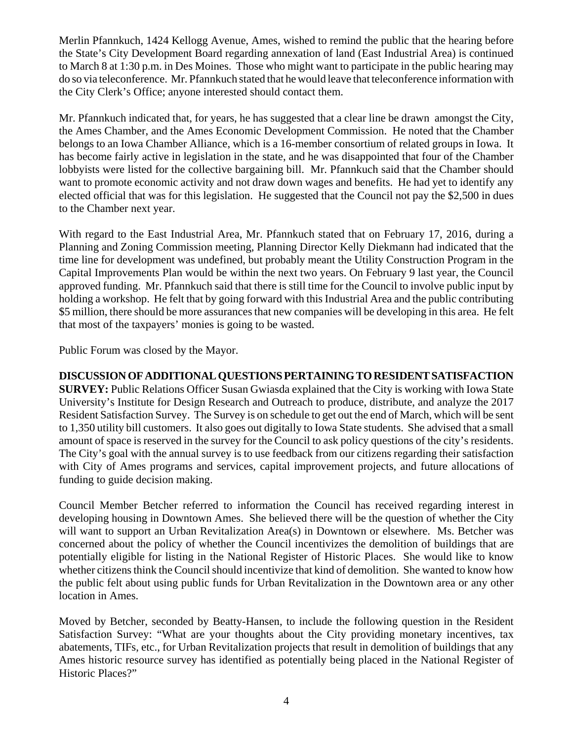Merlin Pfannkuch, 1424 Kellogg Avenue, Ames, wished to remind the public that the hearing before the State's City Development Board regarding annexation of land (East Industrial Area) is continued to March 8 at 1:30 p.m. in Des Moines. Those who might want to participate in the public hearing may do so via teleconference. Mr. Pfannkuch stated that he would leave that teleconference information with the City Clerk's Office; anyone interested should contact them.

Mr. Pfannkuch indicated that, for years, he has suggested that a clear line be drawn amongst the City, the Ames Chamber, and the Ames Economic Development Commission. He noted that the Chamber belongs to an Iowa Chamber Alliance, which is a 16-member consortium of related groups in Iowa. It has become fairly active in legislation in the state, and he was disappointed that four of the Chamber lobbyists were listed for the collective bargaining bill. Mr. Pfannkuch said that the Chamber should want to promote economic activity and not draw down wages and benefits. He had yet to identify any elected official that was for this legislation. He suggested that the Council not pay the \$2,500 in dues to the Chamber next year.

With regard to the East Industrial Area, Mr. Pfannkuch stated that on February 17, 2016, during a Planning and Zoning Commission meeting, Planning Director Kelly Diekmann had indicated that the time line for development was undefined, but probably meant the Utility Construction Program in the Capital Improvements Plan would be within the next two years. On February 9 last year, the Council approved funding. Mr. Pfannkuch said that there is still time for the Council to involve public input by holding a workshop. He felt that by going forward with this Industrial Area and the public contributing \$5 million, there should be more assurances that new companies will be developing in this area. He felt that most of the taxpayers' monies is going to be wasted.

Public Forum was closed by the Mayor.

## **DISCUSSION OF ADDITIONAL QUESTIONS PERTAINING TO RESIDENT SATISFACTION**

**SURVEY:** Public Relations Officer Susan Gwiasda explained that the City is working with Iowa State University's Institute for Design Research and Outreach to produce, distribute, and analyze the 2017 Resident Satisfaction Survey. The Survey is on schedule to get out the end of March, which will be sent to 1,350 utility bill customers. It also goes out digitally to Iowa State students. She advised that a small amount of space is reserved in the survey for the Council to ask policy questions of the city's residents. The City's goal with the annual survey is to use feedback from our citizens regarding their satisfaction with City of Ames programs and services, capital improvement projects, and future allocations of funding to guide decision making.

Council Member Betcher referred to information the Council has received regarding interest in developing housing in Downtown Ames. She believed there will be the question of whether the City will want to support an Urban Revitalization Area(s) in Downtown or elsewhere. Ms. Betcher was concerned about the policy of whether the Council incentivizes the demolition of buildings that are potentially eligible for listing in the National Register of Historic Places. She would like to know whether citizens think the Council should incentivize that kind of demolition. She wanted to know how the public felt about using public funds for Urban Revitalization in the Downtown area or any other location in Ames.

Moved by Betcher, seconded by Beatty-Hansen, to include the following question in the Resident Satisfaction Survey: "What are your thoughts about the City providing monetary incentives, tax abatements, TIFs, etc., for Urban Revitalization projects that result in demolition of buildings that any Ames historic resource survey has identified as potentially being placed in the National Register of Historic Places?"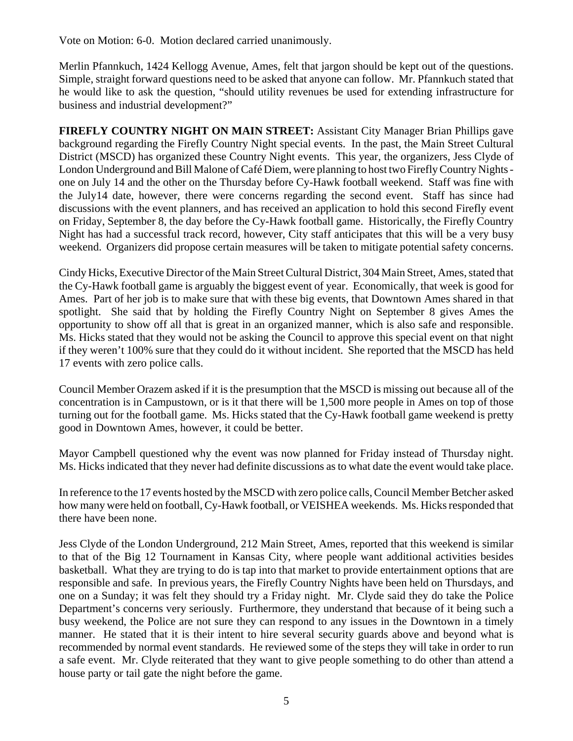Vote on Motion: 6-0. Motion declared carried unanimously.

Merlin Pfannkuch, 1424 Kellogg Avenue, Ames, felt that jargon should be kept out of the questions. Simple, straight forward questions need to be asked that anyone can follow. Mr. Pfannkuch stated that he would like to ask the question, "should utility revenues be used for extending infrastructure for business and industrial development?"

**FIREFLY COUNTRY NIGHT ON MAIN STREET:** Assistant City Manager Brian Phillips gave background regarding the Firefly Country Night special events. In the past, the Main Street Cultural District (MSCD) has organized these Country Night events. This year, the organizers, Jess Clyde of London Underground and Bill Malone of Café Diem, were planning to host two Firefly Country Nights one on July 14 and the other on the Thursday before Cy-Hawk football weekend. Staff was fine with the July14 date, however, there were concerns regarding the second event. Staff has since had discussions with the event planners, and has received an application to hold this second Firefly event on Friday, September 8, the day before the Cy-Hawk football game. Historically, the Firefly Country Night has had a successful track record, however, City staff anticipates that this will be a very busy weekend. Organizers did propose certain measures will be taken to mitigate potential safety concerns.

Cindy Hicks, Executive Director of the Main Street Cultural District, 304 Main Street, Ames, stated that the Cy-Hawk football game is arguably the biggest event of year. Economically, that week is good for Ames. Part of her job is to make sure that with these big events, that Downtown Ames shared in that spotlight. She said that by holding the Firefly Country Night on September 8 gives Ames the opportunity to show off all that is great in an organized manner, which is also safe and responsible. Ms. Hicks stated that they would not be asking the Council to approve this special event on that night if they weren't 100% sure that they could do it without incident. She reported that the MSCD has held 17 events with zero police calls.

Council Member Orazem asked if it is the presumption that the MSCD is missing out because all of the concentration is in Campustown, or is it that there will be 1,500 more people in Ames on top of those turning out for the football game. Ms. Hicks stated that the Cy-Hawk football game weekend is pretty good in Downtown Ames, however, it could be better.

Mayor Campbell questioned why the event was now planned for Friday instead of Thursday night. Ms. Hicks indicated that they never had definite discussions as to what date the event would take place.

In reference to the 17 events hosted by the MSCD with zero police calls, Council Member Betcher asked how many were held on football, Cy-Hawk football, or VEISHEA weekends. Ms. Hicks responded that there have been none.

Jess Clyde of the London Underground, 212 Main Street, Ames, reported that this weekend is similar to that of the Big 12 Tournament in Kansas City, where people want additional activities besides basketball. What they are trying to do is tap into that market to provide entertainment options that are responsible and safe. In previous years, the Firefly Country Nights have been held on Thursdays, and one on a Sunday; it was felt they should try a Friday night. Mr. Clyde said they do take the Police Department's concerns very seriously. Furthermore, they understand that because of it being such a busy weekend, the Police are not sure they can respond to any issues in the Downtown in a timely manner. He stated that it is their intent to hire several security guards above and beyond what is recommended by normal event standards. He reviewed some of the steps they will take in order to run a safe event. Mr. Clyde reiterated that they want to give people something to do other than attend a house party or tail gate the night before the game.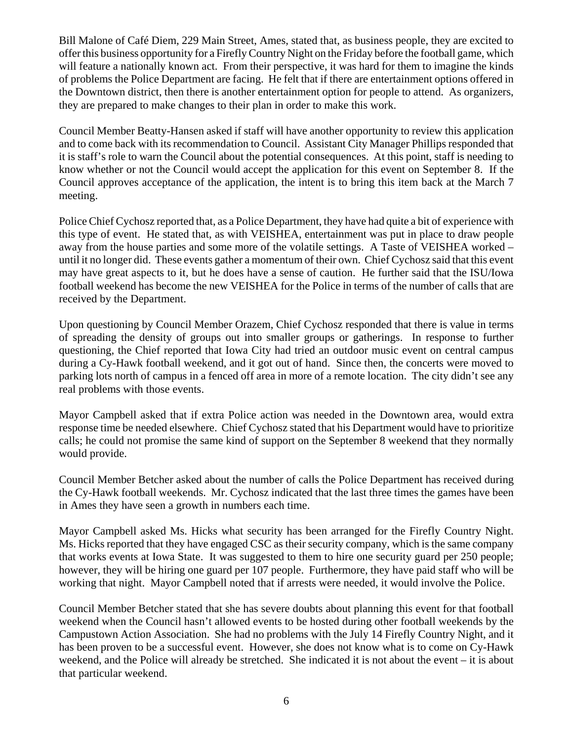Bill Malone of Café Diem, 229 Main Street, Ames, stated that, as business people, they are excited to offer this business opportunity for a Firefly Country Night on the Friday before the football game, which will feature a nationally known act. From their perspective, it was hard for them to imagine the kinds of problems the Police Department are facing. He felt that if there are entertainment options offered in the Downtown district, then there is another entertainment option for people to attend. As organizers, they are prepared to make changes to their plan in order to make this work.

Council Member Beatty-Hansen asked if staff will have another opportunity to review this application and to come back with its recommendation to Council. Assistant City Manager Phillips responded that it is staff's role to warn the Council about the potential consequences. At this point, staff is needing to know whether or not the Council would accept the application for this event on September 8. If the Council approves acceptance of the application, the intent is to bring this item back at the March 7 meeting.

Police Chief Cychosz reported that, as a Police Department, they have had quite a bit of experience with this type of event. He stated that, as with VEISHEA, entertainment was put in place to draw people away from the house parties and some more of the volatile settings. A Taste of VEISHEA worked – until it no longer did. These events gather a momentum of their own. Chief Cychosz said that this event may have great aspects to it, but he does have a sense of caution. He further said that the ISU/Iowa football weekend has become the new VEISHEA for the Police in terms of the number of calls that are received by the Department.

Upon questioning by Council Member Orazem, Chief Cychosz responded that there is value in terms of spreading the density of groups out into smaller groups or gatherings. In response to further questioning, the Chief reported that Iowa City had tried an outdoor music event on central campus during a Cy-Hawk football weekend, and it got out of hand. Since then, the concerts were moved to parking lots north of campus in a fenced off area in more of a remote location. The city didn't see any real problems with those events.

Mayor Campbell asked that if extra Police action was needed in the Downtown area, would extra response time be needed elsewhere. Chief Cychosz stated that his Department would have to prioritize calls; he could not promise the same kind of support on the September 8 weekend that they normally would provide.

Council Member Betcher asked about the number of calls the Police Department has received during the Cy-Hawk football weekends. Mr. Cychosz indicated that the last three times the games have been in Ames they have seen a growth in numbers each time.

Mayor Campbell asked Ms. Hicks what security has been arranged for the Firefly Country Night. Ms. Hicks reported that they have engaged CSC as their security company, which is the same company that works events at Iowa State. It was suggested to them to hire one security guard per 250 people; however, they will be hiring one guard per 107 people. Furthermore, they have paid staff who will be working that night. Mayor Campbell noted that if arrests were needed, it would involve the Police.

Council Member Betcher stated that she has severe doubts about planning this event for that football weekend when the Council hasn't allowed events to be hosted during other football weekends by the Campustown Action Association. She had no problems with the July 14 Firefly Country Night, and it has been proven to be a successful event. However, she does not know what is to come on Cy-Hawk weekend, and the Police will already be stretched. She indicated it is not about the event – it is about that particular weekend.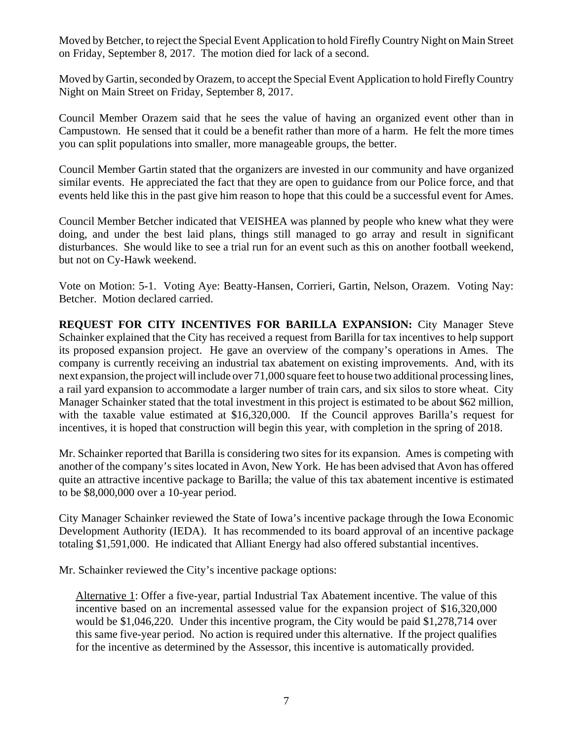Moved by Betcher, to reject the Special Event Application to hold Firefly Country Night on Main Street on Friday, September 8, 2017. The motion died for lack of a second.

Moved by Gartin, seconded by Orazem, to accept the Special Event Application to hold Firefly Country Night on Main Street on Friday, September 8, 2017.

Council Member Orazem said that he sees the value of having an organized event other than in Campustown. He sensed that it could be a benefit rather than more of a harm. He felt the more times you can split populations into smaller, more manageable groups, the better.

Council Member Gartin stated that the organizers are invested in our community and have organized similar events. He appreciated the fact that they are open to guidance from our Police force, and that events held like this in the past give him reason to hope that this could be a successful event for Ames.

Council Member Betcher indicated that VEISHEA was planned by people who knew what they were doing, and under the best laid plans, things still managed to go array and result in significant disturbances. She would like to see a trial run for an event such as this on another football weekend, but not on Cy-Hawk weekend.

Vote on Motion: 5-1. Voting Aye: Beatty-Hansen, Corrieri, Gartin, Nelson, Orazem. Voting Nay: Betcher. Motion declared carried.

**REQUEST FOR CITY INCENTIVES FOR BARILLA EXPANSION:** City Manager Steve Schainker explained that the City has received a request from Barilla for tax incentives to help support its proposed expansion project. He gave an overview of the company's operations in Ames. The company is currently receiving an industrial tax abatement on existing improvements. And, with its next expansion, the project will include over 71,000 square feet to house two additional processing lines, a rail yard expansion to accommodate a larger number of train cars, and six silos to store wheat. City Manager Schainker stated that the total investment in this project is estimated to be about \$62 million, with the taxable value estimated at \$16,320,000. If the Council approves Barilla's request for incentives, it is hoped that construction will begin this year, with completion in the spring of 2018.

Mr. Schainker reported that Barilla is considering two sites for its expansion. Ames is competing with another of the company's sites located in Avon, New York. He has been advised that Avon has offered quite an attractive incentive package to Barilla; the value of this tax abatement incentive is estimated to be \$8,000,000 over a 10-year period.

City Manager Schainker reviewed the State of Iowa's incentive package through the Iowa Economic Development Authority (IEDA). It has recommended to its board approval of an incentive package totaling \$1,591,000. He indicated that Alliant Energy had also offered substantial incentives.

Mr. Schainker reviewed the City's incentive package options:

Alternative 1: Offer a five-year, partial Industrial Tax Abatement incentive. The value of this incentive based on an incremental assessed value for the expansion project of \$16,320,000 would be \$1,046,220. Under this incentive program, the City would be paid \$1,278,714 over this same five-year period. No action is required under this alternative. If the project qualifies for the incentive as determined by the Assessor, this incentive is automatically provided.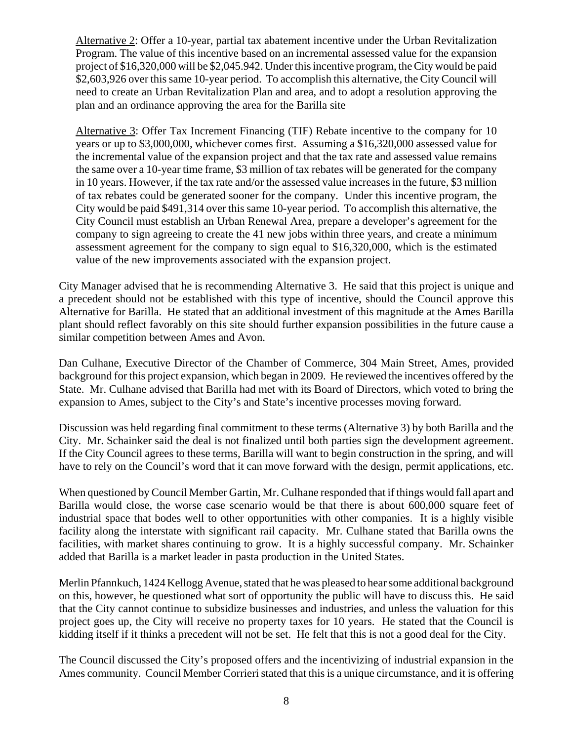Alternative 2: Offer a 10-year, partial tax abatement incentive under the Urban Revitalization Program. The value of this incentive based on an incremental assessed value for the expansion project of \$16,320,000 will be \$2,045.942. Under this incentive program, the City would be paid \$2,603,926 over this same 10-year period. To accomplish this alternative, the City Council will need to create an Urban Revitalization Plan and area, and to adopt a resolution approving the plan and an ordinance approving the area for the Barilla site

Alternative 3: Offer Tax Increment Financing (TIF) Rebate incentive to the company for 10 years or up to \$3,000,000, whichever comes first. Assuming a \$16,320,000 assessed value for the incremental value of the expansion project and that the tax rate and assessed value remains the same over a 10-year time frame, \$3 million of tax rebates will be generated for the company in 10 years. However, if the tax rate and/or the assessed value increases in the future, \$3 million of tax rebates could be generated sooner for the company. Under this incentive program, the City would be paid \$491,314 over this same 10-year period. To accomplish this alternative, the City Council must establish an Urban Renewal Area, prepare a developer's agreement for the company to sign agreeing to create the 41 new jobs within three years, and create a minimum assessment agreement for the company to sign equal to \$16,320,000, which is the estimated value of the new improvements associated with the expansion project.

City Manager advised that he is recommending Alternative 3. He said that this project is unique and a precedent should not be established with this type of incentive, should the Council approve this Alternative for Barilla. He stated that an additional investment of this magnitude at the Ames Barilla plant should reflect favorably on this site should further expansion possibilities in the future cause a similar competition between Ames and Avon.

Dan Culhane, Executive Director of the Chamber of Commerce, 304 Main Street, Ames, provided background for this project expansion, which began in 2009. He reviewed the incentives offered by the State. Mr. Culhane advised that Barilla had met with its Board of Directors, which voted to bring the expansion to Ames, subject to the City's and State's incentive processes moving forward.

Discussion was held regarding final commitment to these terms (Alternative 3) by both Barilla and the City. Mr. Schainker said the deal is not finalized until both parties sign the development agreement. If the City Council agrees to these terms, Barilla will want to begin construction in the spring, and will have to rely on the Council's word that it can move forward with the design, permit applications, etc.

When questioned by Council Member Gartin, Mr. Culhane responded that if things would fall apart and Barilla would close, the worse case scenario would be that there is about 600,000 square feet of industrial space that bodes well to other opportunities with other companies. It is a highly visible facility along the interstate with significant rail capacity. Mr. Culhane stated that Barilla owns the facilities, with market shares continuing to grow. It is a highly successful company. Mr. Schainker added that Barilla is a market leader in pasta production in the United States.

Merlin Pfannkuch, 1424 Kellogg Avenue, stated that he was pleased to hear some additional background on this, however, he questioned what sort of opportunity the public will have to discuss this. He said that the City cannot continue to subsidize businesses and industries, and unless the valuation for this project goes up, the City will receive no property taxes for 10 years. He stated that the Council is kidding itself if it thinks a precedent will not be set. He felt that this is not a good deal for the City.

The Council discussed the City's proposed offers and the incentivizing of industrial expansion in the Ames community. Council Member Corrieri stated that this is a unique circumstance, and it is offering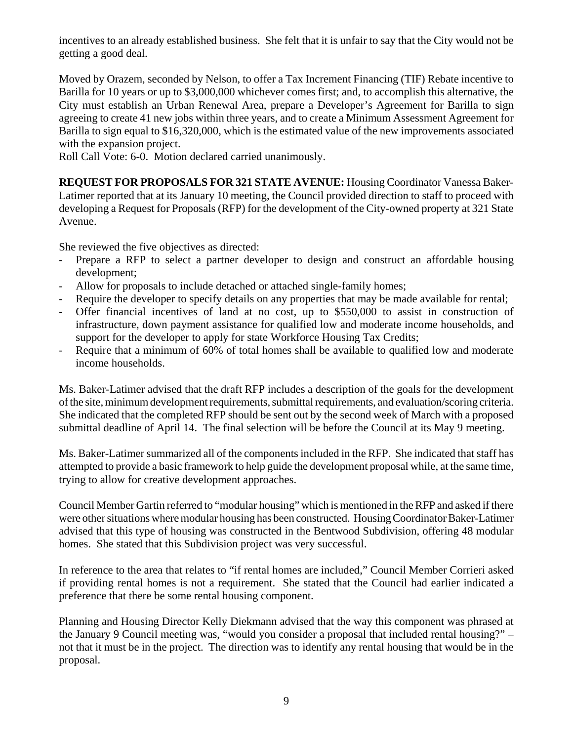incentives to an already established business. She felt that it is unfair to say that the City would not be getting a good deal.

Moved by Orazem, seconded by Nelson, to offer a Tax Increment Financing (TIF) Rebate incentive to Barilla for 10 years or up to \$3,000,000 whichever comes first; and, to accomplish this alternative, the City must establish an Urban Renewal Area, prepare a Developer's Agreement for Barilla to sign agreeing to create 41 new jobs within three years, and to create a Minimum Assessment Agreement for Barilla to sign equal to \$16,320,000, which is the estimated value of the new improvements associated with the expansion project.

Roll Call Vote: 6-0. Motion declared carried unanimously.

**REQUEST FOR PROPOSALS FOR 321 STATE AVENUE:** Housing Coordinator Vanessa Baker-Latimer reported that at its January 10 meeting, the Council provided direction to staff to proceed with developing a Request for Proposals (RFP) for the development of the City-owned property at 321 State Avenue.

She reviewed the five objectives as directed:

- Prepare a RFP to select a partner developer to design and construct an affordable housing development;
- Allow for proposals to include detached or attached single-family homes;
- Require the developer to specify details on any properties that may be made available for rental;
- Offer financial incentives of land at no cost, up to \$550,000 to assist in construction of infrastructure, down payment assistance for qualified low and moderate income households, and support for the developer to apply for state Workforce Housing Tax Credits;
- Require that a minimum of 60% of total homes shall be available to qualified low and moderate income households.

Ms. Baker-Latimer advised that the draft RFP includes a description of the goals for the development of the site, minimum development requirements, submittal requirements, and evaluation/scoring criteria. She indicated that the completed RFP should be sent out by the second week of March with a proposed submittal deadline of April 14. The final selection will be before the Council at its May 9 meeting.

Ms. Baker-Latimer summarized all of the components included in the RFP. She indicated that staff has attempted to provide a basic framework to help guide the development proposal while, at the same time, trying to allow for creative development approaches.

Council Member Gartin referred to "modular housing" which is mentioned in the RFP and asked if there were other situations where modular housing has been constructed. Housing Coordinator Baker-Latimer advised that this type of housing was constructed in the Bentwood Subdivision, offering 48 modular homes. She stated that this Subdivision project was very successful.

In reference to the area that relates to "if rental homes are included," Council Member Corrieri asked if providing rental homes is not a requirement. She stated that the Council had earlier indicated a preference that there be some rental housing component.

Planning and Housing Director Kelly Diekmann advised that the way this component was phrased at the January 9 Council meeting was, "would you consider a proposal that included rental housing?" – not that it must be in the project. The direction was to identify any rental housing that would be in the proposal.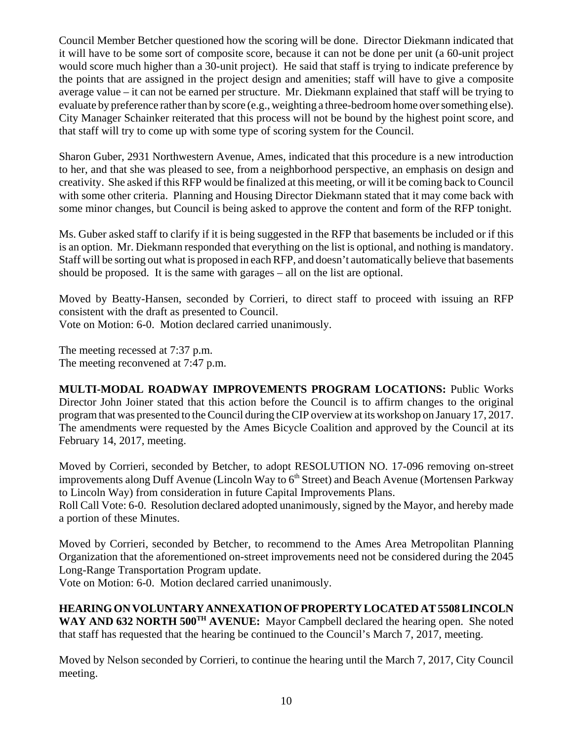Council Member Betcher questioned how the scoring will be done. Director Diekmann indicated that it will have to be some sort of composite score, because it can not be done per unit (a 60-unit project would score much higher than a 30-unit project). He said that staff is trying to indicate preference by the points that are assigned in the project design and amenities; staff will have to give a composite average value – it can not be earned per structure. Mr. Diekmann explained that staff will be trying to evaluate by preference rather than by score (e.g., weighting a three-bedroom home over something else). City Manager Schainker reiterated that this process will not be bound by the highest point score, and that staff will try to come up with some type of scoring system for the Council.

Sharon Guber, 2931 Northwestern Avenue, Ames, indicated that this procedure is a new introduction to her, and that she was pleased to see, from a neighborhood perspective, an emphasis on design and creativity. She asked if this RFP would be finalized at this meeting, or will it be coming back to Council with some other criteria. Planning and Housing Director Diekmann stated that it may come back with some minor changes, but Council is being asked to approve the content and form of the RFP tonight.

Ms. Guber asked staff to clarify if it is being suggested in the RFP that basements be included or if this is an option. Mr. Diekmann responded that everything on the list is optional, and nothing is mandatory. Staff will be sorting out what is proposed in each RFP, and doesn't automatically believe that basements should be proposed. It is the same with garages – all on the list are optional.

Moved by Beatty-Hansen, seconded by Corrieri, to direct staff to proceed with issuing an RFP consistent with the draft as presented to Council.

Vote on Motion: 6-0. Motion declared carried unanimously.

The meeting recessed at 7:37 p.m. The meeting reconvened at 7:47 p.m.

**MULTI-MODAL ROADWAY IMPROVEMENTS PROGRAM LOCATIONS:** Public Works Director John Joiner stated that this action before the Council is to affirm changes to the original program that was presented to the Council during the CIP overview at its workshop on January 17, 2017. The amendments were requested by the Ames Bicycle Coalition and approved by the Council at its February 14, 2017, meeting.

Moved by Corrieri, seconded by Betcher, to adopt RESOLUTION NO. 17-096 removing on-street improvements along Duff Avenue (Lincoln Way to 6<sup>th</sup> Street) and Beach Avenue (Mortensen Parkway to Lincoln Way) from consideration in future Capital Improvements Plans.

Roll Call Vote: 6-0. Resolution declared adopted unanimously, signed by the Mayor, and hereby made a portion of these Minutes.

Moved by Corrieri, seconded by Betcher, to recommend to the Ames Area Metropolitan Planning Organization that the aforementioned on-street improvements need not be considered during the 2045 Long-Range Transportation Program update.

Vote on Motion: 6-0. Motion declared carried unanimously.

**HEARING ON VOLUNTARY ANNEXATION OF PROPERTY LOCATED AT 5508 LINCOLN** WAY AND 632 NORTH 500<sup>TH</sup> AVENUE: Mayor Campbell declared the hearing open. She noted that staff has requested that the hearing be continued to the Council's March 7, 2017, meeting.

Moved by Nelson seconded by Corrieri, to continue the hearing until the March 7, 2017, City Council meeting.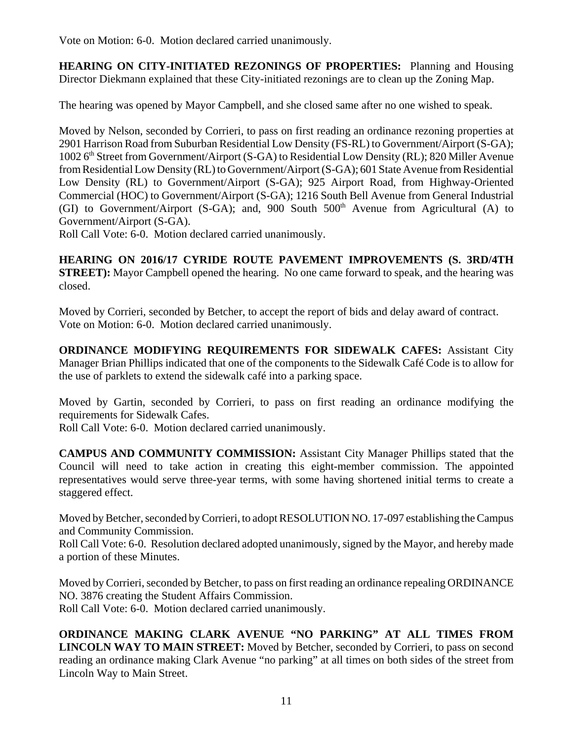Vote on Motion: 6-0. Motion declared carried unanimously.

**HEARING ON CITY-INITIATED REZONINGS OF PROPERTIES:** Planning and Housing Director Diekmann explained that these City-initiated rezonings are to clean up the Zoning Map.

The hearing was opened by Mayor Campbell, and she closed same after no one wished to speak.

Moved by Nelson, seconded by Corrieri, to pass on first reading an ordinance rezoning properties at 2901 Harrison Road from Suburban Residential Low Density (FS-RL) to Government/Airport (S-GA); 1002 6th Street from Government/Airport (S-GA) to Residential Low Density (RL); 820 Miller Avenue from Residential Low Density (RL) to Government/Airport (S-GA); 601 State Avenue from Residential Low Density (RL) to Government/Airport (S-GA); 925 Airport Road, from Highway-Oriented Commercial (HOC) to Government/Airport (S-GA); 1216 South Bell Avenue from General Industrial (GI) to Government/Airport (S-GA); and, 900 South  $500<sup>th</sup>$  Avenue from Agricultural (A) to Government/Airport (S-GA).

Roll Call Vote: 6-0. Motion declared carried unanimously.

**HEARING ON 2016/17 CYRIDE ROUTE PAVEMENT IMPROVEMENTS (S. 3RD/4TH STREET):** Mayor Campbell opened the hearing. No one came forward to speak, and the hearing was closed.

Moved by Corrieri, seconded by Betcher, to accept the report of bids and delay award of contract. Vote on Motion: 6-0. Motion declared carried unanimously.

**ORDINANCE MODIFYING REQUIREMENTS FOR SIDEWALK CAFES:** Assistant City Manager Brian Phillips indicated that one of the components to the Sidewalk Café Code is to allow for the use of parklets to extend the sidewalk café into a parking space.

Moved by Gartin, seconded by Corrieri, to pass on first reading an ordinance modifying the requirements for Sidewalk Cafes.

Roll Call Vote: 6-0. Motion declared carried unanimously.

**CAMPUS AND COMMUNITY COMMISSION:** Assistant City Manager Phillips stated that the Council will need to take action in creating this eight-member commission. The appointed representatives would serve three-year terms, with some having shortened initial terms to create a staggered effect.

Moved by Betcher, seconded by Corrieri, to adopt RESOLUTION NO. 17-097 establishing the Campus and Community Commission.

Roll Call Vote: 6-0. Resolution declared adopted unanimously, signed by the Mayor, and hereby made a portion of these Minutes.

Moved by Corrieri, seconded by Betcher, to pass on first reading an ordinance repealing ORDINANCE NO. 3876 creating the Student Affairs Commission.

Roll Call Vote: 6-0. Motion declared carried unanimously.

**ORDINANCE MAKING CLARK AVENUE "NO PARKING" AT ALL TIMES FROM LINCOLN WAY TO MAIN STREET:** Moved by Betcher, seconded by Corrieri, to pass on second reading an ordinance making Clark Avenue "no parking" at all times on both sides of the street from Lincoln Way to Main Street.